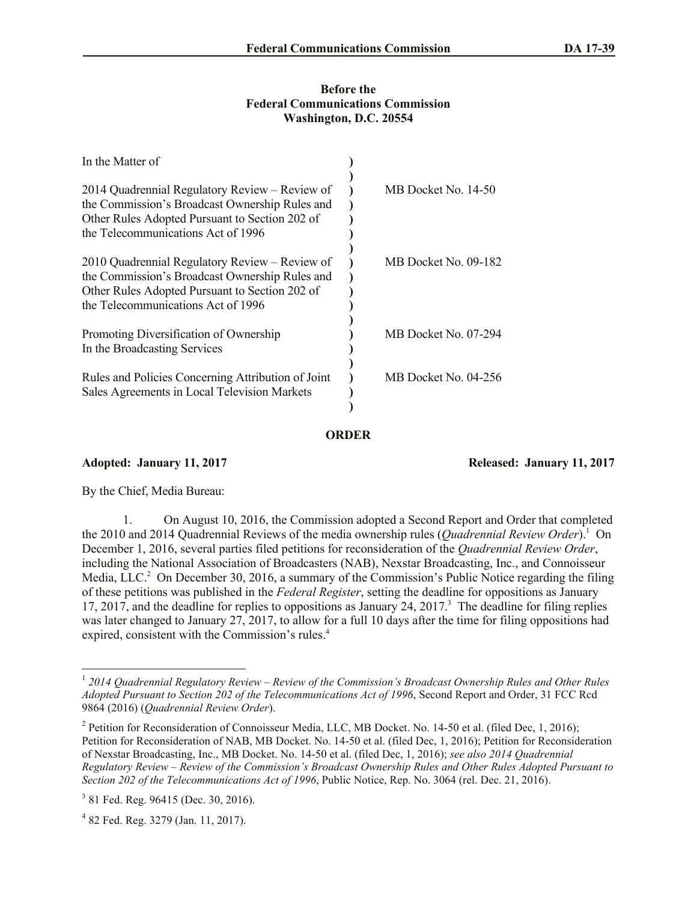## **Before the Federal Communications Commission Washington, D.C. 20554**

| In the Matter of                                                                                                                                                                         |                      |
|------------------------------------------------------------------------------------------------------------------------------------------------------------------------------------------|----------------------|
| 2014 Quadrennial Regulatory Review – Review of<br>the Commission's Broadcast Ownership Rules and<br>Other Rules Adopted Pursuant to Section 202 of<br>the Telecommunications Act of 1996 | MB Docket No. 14-50  |
| 2010 Quadrennial Regulatory Review – Review of<br>the Commission's Broadcast Ownership Rules and<br>Other Rules Adopted Pursuant to Section 202 of<br>the Telecommunications Act of 1996 | MB Docket No. 09-182 |
| Promoting Diversification of Ownership<br>In the Broadcasting Services                                                                                                                   | MB Docket No. 07-294 |
| Rules and Policies Concerning Attribution of Joint<br>Sales Agreements in Local Television Markets                                                                                       | MB Docket No. 04-256 |

**ORDER**

**Adopted: January 11, 2017 Released: January 11, 2017**

By the Chief, Media Bureau:

l

1. On August 10, 2016, the Commission adopted a Second Report and Order that completed the 2010 and 2014 Quadrennial Reviews of the media ownership rules (*Quadrennial Review Order*). <sup>1</sup> On December 1, 2016, several parties filed petitions for reconsideration of the *Quadrennial Review Order*, including the National Association of Broadcasters (NAB), Nexstar Broadcasting, Inc., and Connoisseur Media, LLC.<sup>2</sup> On December 30, 2016, a summary of the Commission's Public Notice regarding the filing of these petitions was published in the *Federal Register*, setting the deadline for oppositions as January 17, 2017, and the deadline for replies to oppositions as January 24, 2017.<sup>3</sup> The deadline for filing replies was later changed to January 27, 2017, to allow for a full 10 days after the time for filing oppositions had expired, consistent with the Commission's rules.<sup>4</sup>

<sup>1</sup> *2014 Quadrennial Regulatory Review – Review of the Commission's Broadcast Ownership Rules and Other Rules Adopted Pursuant to Section 202 of the Telecommunications Act of 1996*, Second Report and Order, 31 FCC Rcd 9864 (2016) (*Quadrennial Review Order*).

<sup>&</sup>lt;sup>2</sup> Petition for Reconsideration of Connoisseur Media, LLC, MB Docket. No. 14-50 et al. (filed Dec, 1, 2016); Petition for Reconsideration of NAB, MB Docket. No. 14-50 et al. (filed Dec, 1, 2016); Petition for Reconsideration of Nexstar Broadcasting, Inc., MB Docket. No. 14-50 et al. (filed Dec, 1, 2016); *see also 2014 Quadrennial Regulatory Review – Review of the Commission's Broadcast Ownership Rules and Other Rules Adopted Pursuant to Section 202 of the Telecommunications Act of 1996*, Public Notice, Rep. No. 3064 (rel. Dec. 21, 2016).

<sup>&</sup>lt;sup>3</sup> 81 Fed. Reg. 96415 (Dec. 30, 2016).

<sup>4</sup> 82 Fed. Reg. 3279 (Jan. 11, 2017).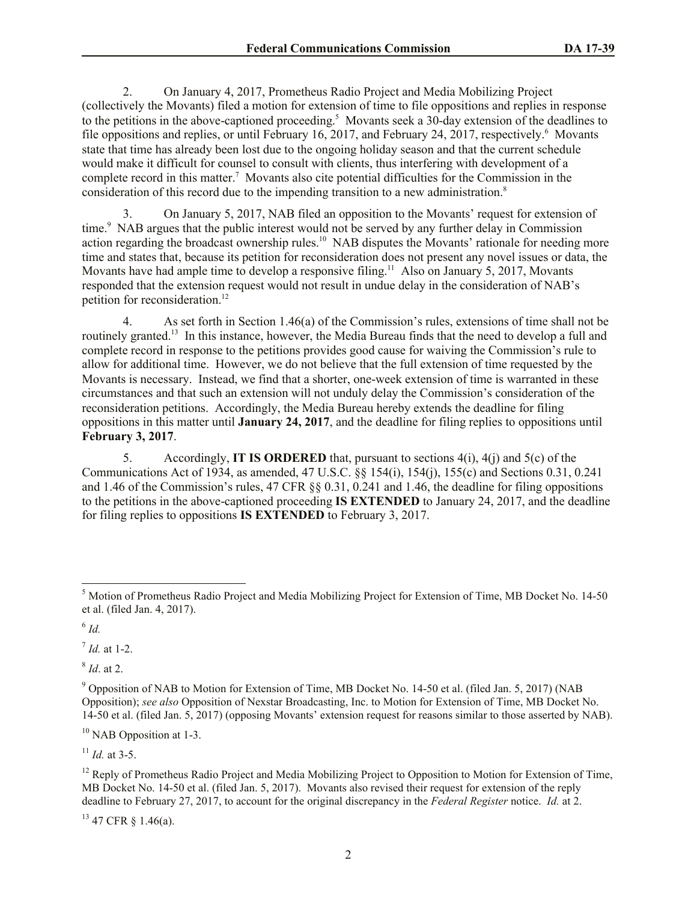2. On January 4, 2017, Prometheus Radio Project and Media Mobilizing Project (collectively the Movants) filed a motion for extension of time to file oppositions and replies in response to the petitions in the above-captioned proceeding. 5 Movants seek a 30-day extension of the deadlines to file oppositions and replies, or until February 16, 2017, and February 24, 2017, respectively.<sup>6</sup> Movants state that time has already been lost due to the ongoing holiday season and that the current schedule would make it difficult for counsel to consult with clients, thus interfering with development of a complete record in this matter.<sup>7</sup> Movants also cite potential difficulties for the Commission in the consideration of this record due to the impending transition to a new administration.<sup>8</sup>

3. On January 5, 2017, NAB filed an opposition to the Movants' request for extension of time.<sup>9</sup> NAB argues that the public interest would not be served by any further delay in Commission action regarding the broadcast ownership rules.<sup>10</sup> NAB disputes the Movants' rationale for needing more time and states that, because its petition for reconsideration does not present any novel issues or data, the Movants have had ample time to develop a responsive filing.<sup>11</sup> Also on January 5, 2017, Movants responded that the extension request would not result in undue delay in the consideration of NAB's petition for reconsideration.<sup>12</sup>

4. As set forth in Section 1.46(a) of the Commission's rules, extensions of time shall not be routinely granted.<sup>13</sup> In this instance, however, the Media Bureau finds that the need to develop a full and complete record in response to the petitions provides good cause for waiving the Commission's rule to allow for additional time. However, we do not believe that the full extension of time requested by the Movants is necessary. Instead, we find that a shorter, one-week extension of time is warranted in these circumstances and that such an extension will not unduly delay the Commission's consideration of the reconsideration petitions. Accordingly, the Media Bureau hereby extends the deadline for filing oppositions in this matter until **January 24, 2017**, and the deadline for filing replies to oppositions until **February 3, 2017**.

5. Accordingly, **IT IS ORDERED** that, pursuant to sections 4(i), 4(j) and 5(c) of the Communications Act of 1934, as amended, 47 U.S.C. §§ 154(i), 154(j), 155(c) and Sections 0.31, 0.241 and 1.46 of the Commission's rules, 47 CFR §§ 0.31, 0.241 and 1.46, the deadline for filing oppositions to the petitions in the above-captioned proceeding **IS EXTENDED** to January 24, 2017, and the deadline for filing replies to oppositions **IS EXTENDED** to February 3, 2017.

6 *Id.*

l

7 *Id.* at 1-2.

8 *Id*. at 2.

 $10$  NAB Opposition at 1-3.

 $11$  *Id.* at 3-5.

 $13$  47 CFR  $\S$  1.46(a).

<sup>5</sup> Motion of Prometheus Radio Project and Media Mobilizing Project for Extension of Time, MB Docket No. 14-50 et al. (filed Jan. 4, 2017).

<sup>&</sup>lt;sup>9</sup> Opposition of NAB to Motion for Extension of Time, MB Docket No. 14-50 et al. (filed Jan. 5, 2017) (NAB Opposition); *see also* Opposition of Nexstar Broadcasting, Inc. to Motion for Extension of Time, MB Docket No. 14-50 et al. (filed Jan. 5, 2017) (opposing Movants' extension request for reasons similar to those asserted by NAB).

<sup>&</sup>lt;sup>12</sup> Reply of Prometheus Radio Project and Media Mobilizing Project to Opposition to Motion for Extension of Time, MB Docket No. 14-50 et al. (filed Jan. 5, 2017). Movants also revised their request for extension of the reply deadline to February 27, 2017, to account for the original discrepancy in the *Federal Register* notice. *Id.* at 2.